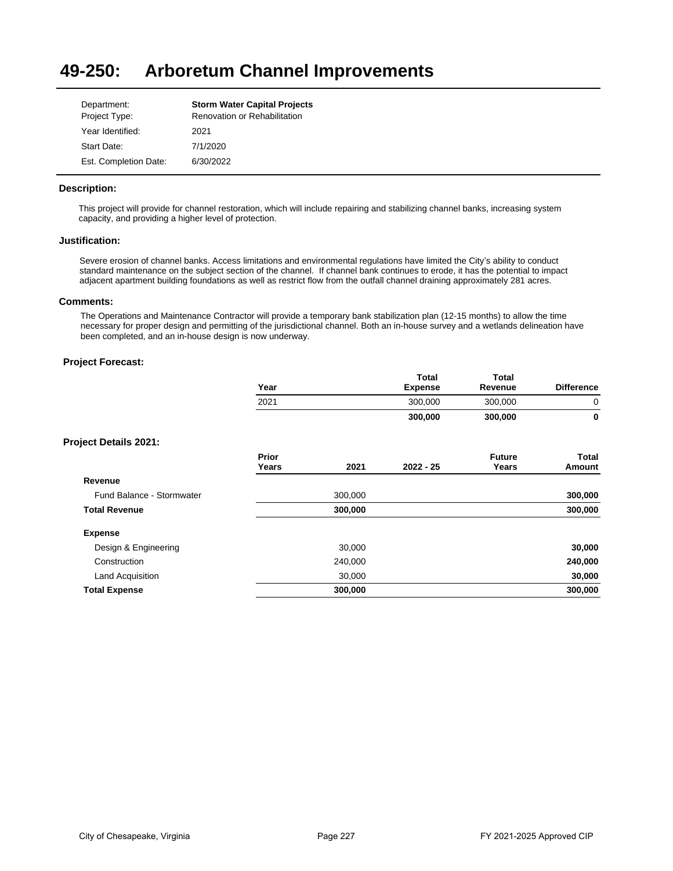#### **49-250: Arboretum Channel Improvements**

| Department:           | <b>Storm Water Capital Projects</b> |
|-----------------------|-------------------------------------|
| Project Type:         | Renovation or Rehabilitation        |
| Year Identified:      | 2021                                |
| Start Date:           | 7/1/2020                            |
| Est. Completion Date: | 6/30/2022                           |

### **Description:**

This project will provide for channel restoration, which will include repairing and stabilizing channel banks, increasing system capacity, and providing a higher level of protection.

#### **Justification:**

Severe erosion of channel banks. Access limitations and environmental regulations have limited the City's ability to conduct standard maintenance on the subject section of the channel. If channel bank continues to erode, it has the potential to impact adjacent apartment building foundations as well as restrict flow from the outfall channel draining approximately 281 acres.

#### **Comments:**

The Operations and Maintenance Contractor will provide a temporary bank stabilization plan (12-15 months) to allow the time necessary for proper design and permitting of the jurisdictional channel. Both an in-house survey and a wetlands delineation have been completed, and an in-house design is now underway.

# **Project Forecast:**

| Year | Total<br><b>Expense</b> | Total<br>Revenue | <b>Difference</b> |
|------|-------------------------|------------------|-------------------|
| 2021 | 300,000                 | 300.000          |                   |
|      | 300,000                 | 300,000          |                   |

|                           | Prior<br>Years | 2021    | $2022 - 25$ | <b>Future</b><br>Years | Total<br>Amount |
|---------------------------|----------------|---------|-------------|------------------------|-----------------|
| Revenue                   |                |         |             |                        |                 |
| Fund Balance - Stormwater |                | 300,000 |             |                        | 300,000         |
| <b>Total Revenue</b>      |                | 300,000 |             |                        | 300,000         |
| <b>Expense</b>            |                |         |             |                        |                 |
| Design & Engineering      |                | 30,000  |             |                        | 30,000          |
| Construction              |                | 240,000 |             |                        | 240,000         |
| Land Acquisition          |                | 30,000  |             |                        | 30,000          |
| <b>Total Expense</b>      |                | 300,000 |             |                        | 300,000         |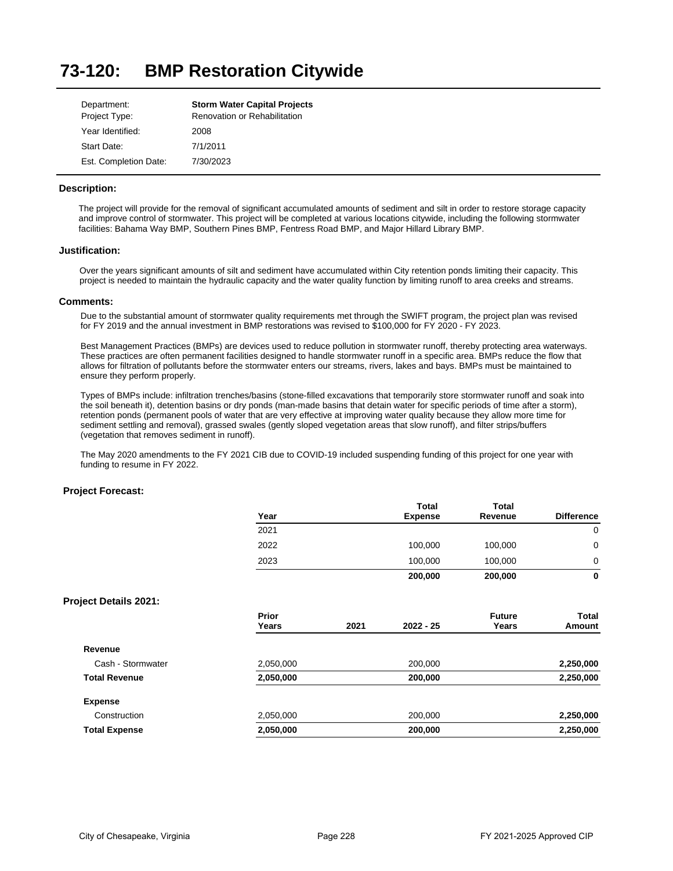#### **73-120: BMP Restoration Citywide**

| Department:           | <b>Storm Water Capital Projects</b> |
|-----------------------|-------------------------------------|
| Project Type:         | Renovation or Rehabilitation        |
| Year Identified:      | 2008                                |
| Start Date:           | 7/1/2011                            |
| Est. Completion Date: | 7/30/2023                           |

#### **Description:**

The project will provide for the removal of significant accumulated amounts of sediment and silt in order to restore storage capacity and improve control of stormwater. This project will be completed at various locations citywide, including the following stormwater facilities: Bahama Way BMP, Southern Pines BMP, Fentress Road BMP, and Major Hillard Library BMP.

#### **Justification:**

Over the years significant amounts of silt and sediment have accumulated within City retention ponds limiting their capacity. This project is needed to maintain the hydraulic capacity and the water quality function by limiting runoff to area creeks and streams.

#### **Comments:**

Due to the substantial amount of stormwater quality requirements met through the SWIFT program, the project plan was revised for FY 2019 and the annual investment in BMP restorations was revised to \$100,000 for FY 2020 - FY 2023.

Best Management Practices (BMPs) are devices used to reduce pollution in stormwater runoff, thereby protecting area waterways. These practices are often permanent facilities designed to handle stormwater runoff in a specific area. BMPs reduce the flow that allows for filtration of pollutants before the stormwater enters our streams, rivers, lakes and bays. BMPs must be maintained to ensure they perform properly.

Types of BMPs include: infiltration trenches/basins (stone-filled excavations that temporarily store stormwater runoff and soak into the soil beneath it), detention basins or dry ponds (man-made basins that detain water for specific periods of time after a storm), retention ponds (permanent pools of water that are very effective at improving water quality because they allow more time for sediment settling and removal), grassed swales (gently sloped vegetation areas that slow runoff), and filter strips/buffers (vegetation that removes sediment in runoff).

The May 2020 amendments to the FY 2021 CIB due to COVID-19 included suspending funding of this project for one year with funding to resume in FY 2022.

| Year           |      | <b>Total</b><br><b>Expense</b> | Total<br>Revenue       | <b>Difference</b> |
|----------------|------|--------------------------------|------------------------|-------------------|
| 2021           |      |                                |                        | $\mathbf 0$       |
| 2022           |      | 100,000                        | 100,000                | $\mathbf 0$       |
| 2023           |      | 100,000                        | 100,000                | 0                 |
|                |      | 200,000                        | 200,000                | 0                 |
|                |      |                                |                        |                   |
| Prior<br>Years | 2021 | $2022 - 25$                    | <b>Future</b><br>Years | Total<br>Amount   |
|                |      |                                |                        |                   |
| 2,050,000      |      | 200,000                        |                        | 2,250,000         |
| 2,050,000      |      | 200,000                        |                        | 2,250,000         |
|                |      |                                |                        |                   |
| 2,050,000      |      | 200,000                        |                        | 2,250,000         |
| 2,050,000      |      | 200,000                        |                        | 2,250,000         |
|                |      |                                |                        |                   |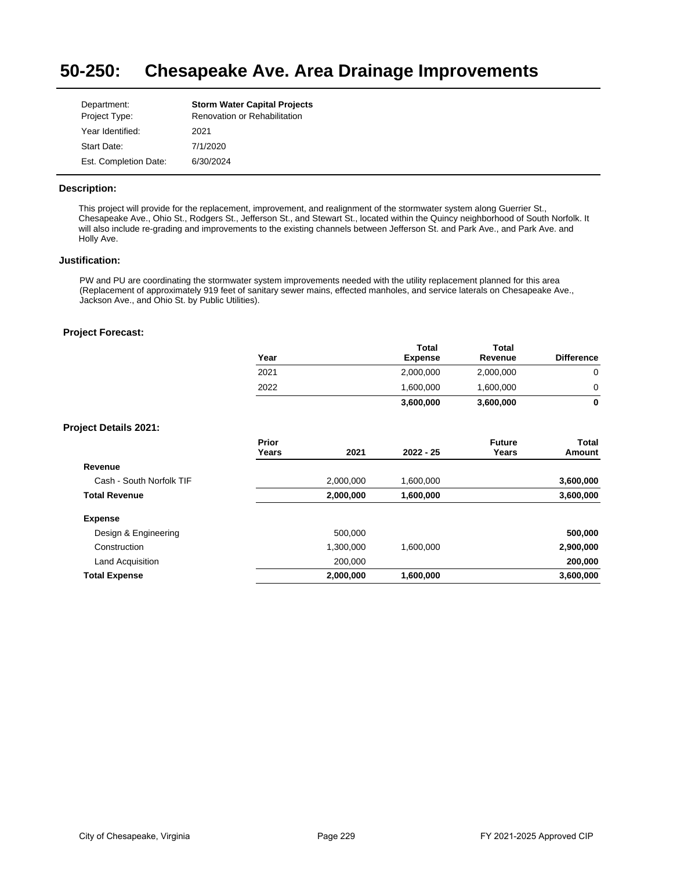#### **50-250: Chesapeake Ave. Area Drainage Improvements**

| Department:           | <b>Storm Water Capital Projects</b> |
|-----------------------|-------------------------------------|
| Project Type:         | <b>Renovation or Rehabilitation</b> |
| Year Identified:      | 2021                                |
| Start Date:           | 7/1/2020                            |
| Est. Completion Date: | 6/30/2024                           |

### **Description:**

This project will provide for the replacement, improvement, and realignment of the stormwater system along Guerrier St., Chesapeake Ave., Ohio St., Rodgers St., Jefferson St., and Stewart St., located within the Quincy neighborhood of South Norfolk. It will also include re-grading and improvements to the existing channels between Jefferson St. and Park Ave., and Park Ave. and Holly Ave.

### **Justification:**

PW and PU are coordinating the stormwater system improvements needed with the utility replacement planned for this area (Replacement of approximately 919 feet of sanitary sewer mains, effected manholes, and service laterals on Chesapeake Ave., Jackson Ave., and Ohio St. by Public Utilities).

|                              | Year           |           | <b>Total</b><br><b>Expense</b> | <b>Total</b><br>Revenue | <b>Difference</b>      |
|------------------------------|----------------|-----------|--------------------------------|-------------------------|------------------------|
|                              | 2021           |           | 2,000,000                      | 2,000,000               | 0                      |
|                              | 2022           |           | 1,600,000                      | 1,600,000               | 0                      |
|                              |                |           | 3,600,000                      | 3,600,000               | $\bf{0}$               |
| <b>Project Details 2021:</b> |                |           |                                |                         |                        |
|                              | Prior<br>Years | 2021      | $2022 - 25$                    | <b>Future</b><br>Years  | <b>Total</b><br>Amount |
| Revenue                      |                |           |                                |                         |                        |
| Cash - South Norfolk TIF     |                | 2,000,000 | 1,600,000                      |                         | 3,600,000              |
| <b>Total Revenue</b>         |                | 2,000,000 | 1,600,000                      |                         | 3,600,000              |
| <b>Expense</b>               |                |           |                                |                         |                        |
| Design & Engineering         |                | 500,000   |                                |                         | 500,000                |
| Construction                 |                | 1,300,000 | 1,600,000                      |                         | 2,900,000              |
| Land Acquisition             |                | 200,000   |                                |                         | 200,000                |
| <b>Total Expense</b>         |                | 2,000,000 | 1,600,000                      |                         | 3,600,000              |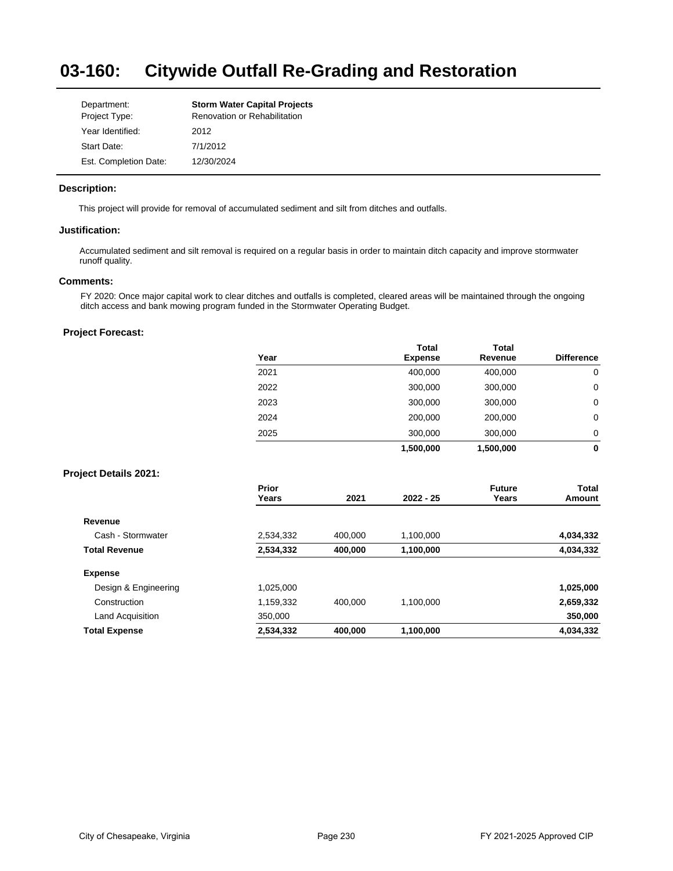#### **03-160: Citywide Outfall Re-Grading and Restoration**

| Department:           | <b>Storm Water Capital Projects</b> |
|-----------------------|-------------------------------------|
| Project Type:         | Renovation or Rehabilitation        |
| Year Identified:      | 2012                                |
| Start Date:           | 7/1/2012                            |
| Est. Completion Date: | 12/30/2024                          |

### **Description:**

This project will provide for removal of accumulated sediment and silt from ditches and outfalls.

### **Justification:**

Accumulated sediment and silt removal is required on a regular basis in order to maintain ditch capacity and improve stormwater runoff quality.

#### **Comments:**

FY 2020: Once major capital work to clear ditches and outfalls is completed, cleared areas will be maintained through the ongoing ditch access and bank mowing program funded in the Stormwater Operating Budget.

# **Project Forecast:**

| Year | <b>Total</b><br><b>Expense</b> | <b>Total</b><br>Revenue | <b>Difference</b> |
|------|--------------------------------|-------------------------|-------------------|
| 2021 | 400,000                        | 400,000                 | 0                 |
| 2022 | 300,000                        | 300,000                 | 0                 |
| 2023 | 300,000                        | 300,000                 | 0                 |
| 2024 | 200,000                        | 200,000                 | 0                 |
| 2025 | 300,000                        | 300,000                 | 0                 |
|      | 1,500,000                      | 1,500,000               | 0                 |

|                      | Prior<br>Years | 2021    | $2022 - 25$ | <b>Future</b><br>Years | <b>Total</b><br>Amount |
|----------------------|----------------|---------|-------------|------------------------|------------------------|
| Revenue              |                |         |             |                        |                        |
| Cash - Stormwater    | 2,534,332      | 400.000 | 1.100.000   |                        | 4,034,332              |
| <b>Total Revenue</b> | 2,534,332      | 400,000 | 1,100,000   |                        | 4,034,332              |
| <b>Expense</b>       |                |         |             |                        |                        |
| Design & Engineering | 1,025,000      |         |             |                        | 1,025,000              |
| Construction         | 1.159.332      | 400.000 | 1.100.000   |                        | 2,659,332              |
| Land Acquisition     | 350,000        |         |             |                        | 350,000                |
| <b>Total Expense</b> | 2,534,332      | 400,000 | 1,100,000   |                        | 4,034,332              |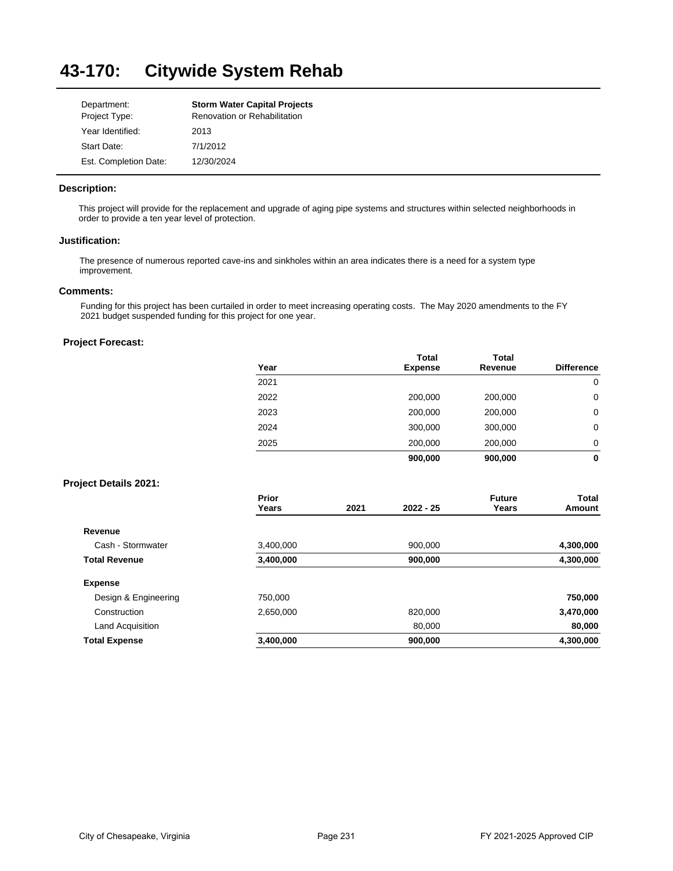#### **43-170: Citywide System Rehab**

| Department:           | <b>Storm Water Capital Projects</b> |
|-----------------------|-------------------------------------|
| Project Type:         | Renovation or Rehabilitation        |
| Year Identified:      | 2013                                |
| Start Date:           | 7/1/2012                            |
| Est. Completion Date: | 12/30/2024                          |

### **Description:**

This project will provide for the replacement and upgrade of aging pipe systems and structures within selected neighborhoods in order to provide a ten year level of protection.

#### **Justification:**

The presence of numerous reported cave-ins and sinkholes within an area indicates there is a need for a system type improvement.

# **Comments:**

Funding for this project has been curtailed in order to meet increasing operating costs. The May 2020 amendments to the FY 2021 budget suspended funding for this project for one year.

#### **Project Forecast:**

| Year | <b>Total</b><br><b>Expense</b> | <b>Total</b><br>Revenue | <b>Difference</b> |
|------|--------------------------------|-------------------------|-------------------|
| 2021 |                                |                         | 0                 |
| 2022 | 200,000                        | 200,000                 | 0                 |
| 2023 | 200,000                        | 200,000                 | 0                 |
| 2024 | 300,000                        | 300,000                 | 0                 |
| 2025 | 200,000                        | 200,000                 | 0                 |
|      | 900,000                        | 900,000                 | 0                 |

|                      | Prior<br>Years | 2021 | $2022 - 25$ | <b>Future</b><br>Years | Total<br>Amount |
|----------------------|----------------|------|-------------|------------------------|-----------------|
| Revenue              |                |      |             |                        |                 |
| Cash - Stormwater    | 3,400,000      |      | 900.000     |                        | 4,300,000       |
| <b>Total Revenue</b> | 3,400,000      |      | 900,000     |                        | 4,300,000       |
| <b>Expense</b>       |                |      |             |                        |                 |
| Design & Engineering | 750.000        |      |             |                        | 750,000         |
| Construction         | 2,650,000      |      | 820,000     |                        | 3,470,000       |
| Land Acquisition     |                |      | 80.000      |                        | 80,000          |
| <b>Total Expense</b> | 3,400,000      |      | 900,000     |                        | 4,300,000       |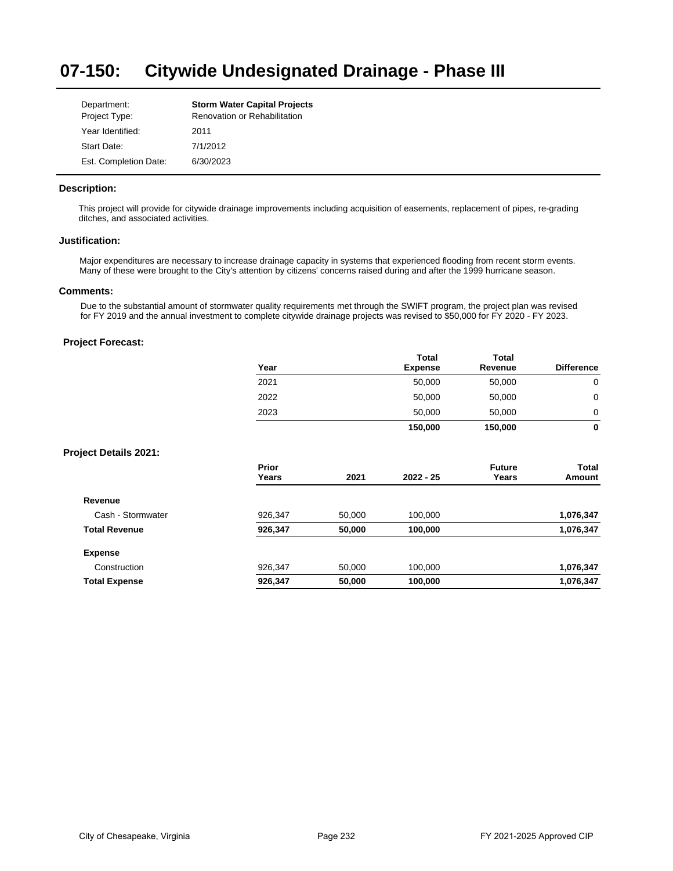#### **07-150: Citywide Undesignated Drainage - Phase III**

| Department:           | <b>Storm Water Capital Projects</b> |
|-----------------------|-------------------------------------|
| Project Type:         | <b>Renovation or Rehabilitation</b> |
| Year Identified:      | 2011                                |
| Start Date:           | 7/1/2012                            |
| Est. Completion Date: | 6/30/2023                           |

#### **Description:**

This project will provide for citywide drainage improvements including acquisition of easements, replacement of pipes, re-grading ditches, and associated activities.

#### **Justification:**

Major expenditures are necessary to increase drainage capacity in systems that experienced flooding from recent storm events. Many of these were brought to the City's attention by citizens' concerns raised during and after the 1999 hurricane season.

# **Comments:**

Due to the substantial amount of stormwater quality requirements met through the SWIFT program, the project plan was revised for FY 2019 and the annual investment to complete citywide drainage projects was revised to \$50,000 for FY 2020 - FY 2023.

|                              | Year           |        | Total<br><b>Expense</b> | Total<br>Revenue       | <b>Difference</b> |
|------------------------------|----------------|--------|-------------------------|------------------------|-------------------|
|                              | 2021           |        | 50,000                  | 50,000                 | $\mathbf 0$       |
|                              | 2022           |        | 50,000                  | 50,000                 | $\mathbf 0$       |
|                              | 2023           |        | 50,000                  | 50,000                 | 0                 |
|                              |                |        | 150,000                 | 150,000                | $\mathbf 0$       |
| <b>Project Details 2021:</b> |                |        |                         |                        |                   |
|                              | Prior<br>Years | 2021   | 2022 - 25               | <b>Future</b><br>Years | Total<br>Amount   |
| Revenue                      |                |        |                         |                        |                   |
| Cash - Stormwater            | 926,347        | 50,000 | 100,000                 |                        | 1,076,347         |
| <b>Total Revenue</b>         | 926,347        | 50,000 | 100,000                 |                        | 1,076,347         |
| <b>Expense</b>               |                |        |                         |                        |                   |
| Construction                 | 926,347        | 50,000 | 100,000                 |                        | 1,076,347         |
| <b>Total Expense</b>         | 926,347        | 50,000 | 100,000                 |                        | 1,076,347         |
|                              |                |        |                         |                        |                   |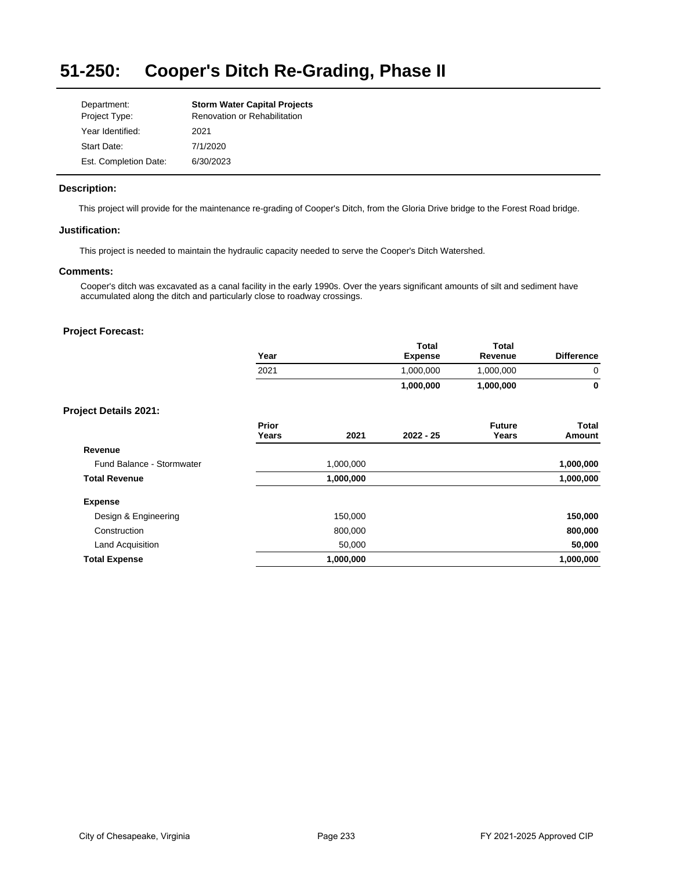## **51-250: Cooper's Ditch Re-Grading, Phase II**

| Department:           | <b>Storm Water Capital Projects</b> |
|-----------------------|-------------------------------------|
| Project Type:         | <b>Renovation or Rehabilitation</b> |
| Year Identified:      | 2021                                |
| Start Date:           | 7/1/2020                            |
| Est. Completion Date: | 6/30/2023                           |

# **Description:**

This project will provide for the maintenance re-grading of Cooper's Ditch, from the Gloria Drive bridge to the Forest Road bridge.

# **Justification:**

This project is needed to maintain the hydraulic capacity needed to serve the Cooper's Ditch Watershed.

#### **Comments:**

Cooper's ditch was excavated as a canal facility in the early 1990s. Over the years significant amounts of silt and sediment have accumulated along the ditch and particularly close to roadway crossings.

| <b>Difference</b> |
|-------------------|
| 0                 |
| $\mathbf{0}$      |
|                   |
| Total<br>Amount   |
|                   |
| 1,000,000         |
| 1,000,000         |
|                   |
| 150,000           |
| 800,000           |
| 50,000            |
| 1,000,000         |
|                   |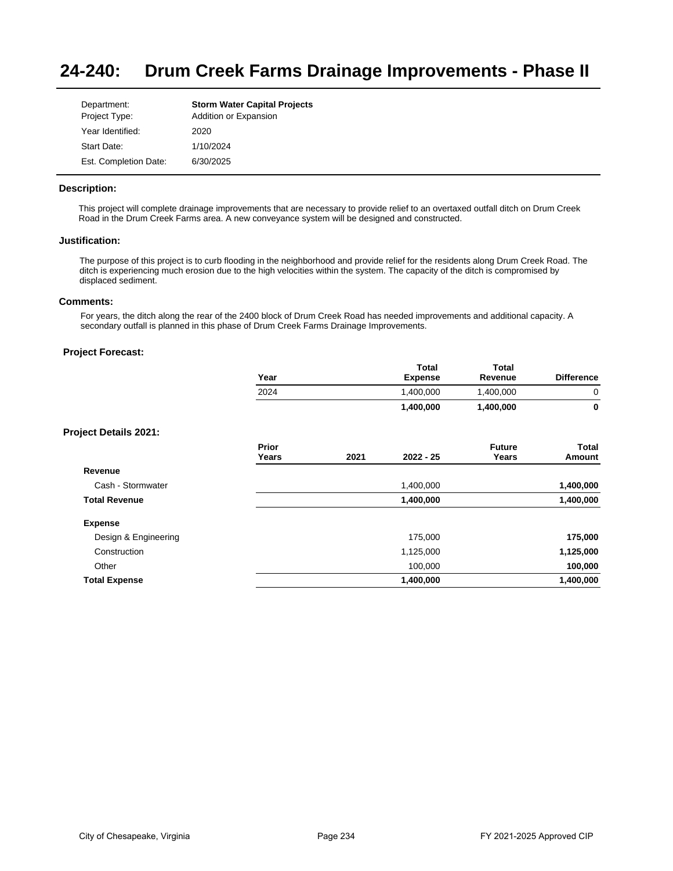#### **24-240: Drum Creek Farms Drainage Improvements - Phase II**

| Department:<br>Project Type: | <b>Storm Water Capital Projects</b><br>Addition or Expansion |
|------------------------------|--------------------------------------------------------------|
| Year Identified:             | 2020                                                         |
| Start Date:                  | 1/10/2024                                                    |
| Est. Completion Date:        | 6/30/2025                                                    |

### **Description:**

This project will complete drainage improvements that are necessary to provide relief to an overtaxed outfall ditch on Drum Creek Road in the Drum Creek Farms area. A new conveyance system will be designed and constructed.

#### **Justification:**

The purpose of this project is to curb flooding in the neighborhood and provide relief for the residents along Drum Creek Road. The ditch is experiencing much erosion due to the high velocities within the system. The capacity of the ditch is compromised by displaced sediment.

#### **Comments:**

For years, the ditch along the rear of the 2400 block of Drum Creek Road has needed improvements and additional capacity. A secondary outfall is planned in this phase of Drum Creek Farms Drainage Improvements.

# **Project Forecast:**

| Year | <b>Total</b><br><b>Expense</b> | Total<br>Revenue | <b>Difference</b> |
|------|--------------------------------|------------------|-------------------|
| 2024 | 1,400,000                      | .400.000         | 0                 |
|      | 1,400,000                      | 1,400,000        | 0                 |

| Prior<br>Years | 2021 | $2022 - 25$ | <b>Future</b><br>Years | Total<br>Amount |
|----------------|------|-------------|------------------------|-----------------|
|                |      |             |                        |                 |
|                |      | 1,400,000   |                        | 1,400,000       |
|                |      | 1,400,000   |                        | 1,400,000       |
|                |      |             |                        |                 |
|                |      | 175,000     |                        | 175,000         |
|                |      | 1,125,000   |                        | 1,125,000       |
|                |      | 100,000     |                        | 100,000         |
|                |      | 1,400,000   |                        | 1,400,000       |
|                |      |             |                        |                 |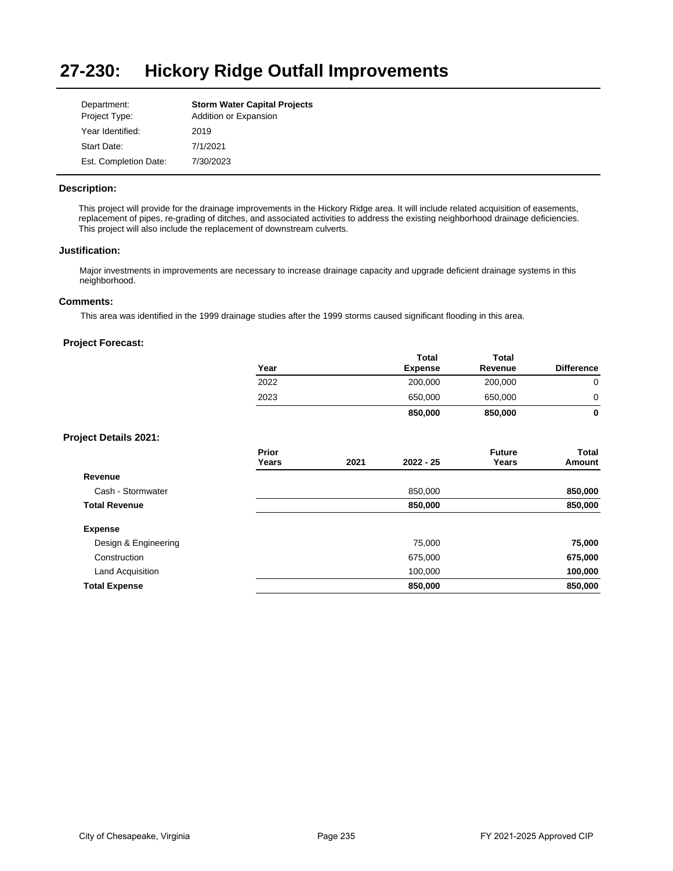#### **27-230: Hickory Ridge Outfall Improvements**

| Department:<br>Project Type: | <b>Storm Water Capital Projects</b><br>Addition or Expansion |
|------------------------------|--------------------------------------------------------------|
| Year Identified:             | 2019                                                         |
| Start Date:                  | 7/1/2021                                                     |
| Est. Completion Date:        | 7/30/2023                                                    |

# **Description:**

This project will provide for the drainage improvements in the Hickory Ridge area. It will include related acquisition of easements, replacement of pipes, re-grading of ditches, and associated activities to address the existing neighborhood drainage deficiencies. This project will also include the replacement of downstream culverts.

### **Justification:**

Major investments in improvements are necessary to increase drainage capacity and upgrade deficient drainage systems in this neighborhood.

#### **Comments:**

This area was identified in the 1999 drainage studies after the 1999 storms caused significant flooding in this area.

|                              | Year           |      | Total<br><b>Expense</b> | <b>Total</b><br>Revenue | <b>Difference</b> |
|------------------------------|----------------|------|-------------------------|-------------------------|-------------------|
|                              | 2022           |      | 200,000                 | 200,000                 | $\mathbf 0$       |
|                              | 2023           |      | 650,000                 | 650,000                 | 0                 |
|                              |                |      | 850,000                 | 850,000                 | $\mathbf{0}$      |
| <b>Project Details 2021:</b> |                |      |                         |                         |                   |
|                              | Prior<br>Years | 2021 | $2022 - 25$             | <b>Future</b><br>Years  | Total<br>Amount   |
| Revenue                      |                |      |                         |                         |                   |
| Cash - Stormwater            |                |      | 850,000                 |                         | 850,000           |
| <b>Total Revenue</b>         |                |      | 850,000                 |                         | 850,000           |
| <b>Expense</b>               |                |      |                         |                         |                   |
| Design & Engineering         |                |      | 75,000                  |                         | 75,000            |
| Construction                 |                |      | 675,000                 |                         | 675,000           |
| Land Acquisition             |                |      | 100,000                 |                         | 100,000           |
| <b>Total Expense</b>         |                |      | 850,000                 |                         | 850,000           |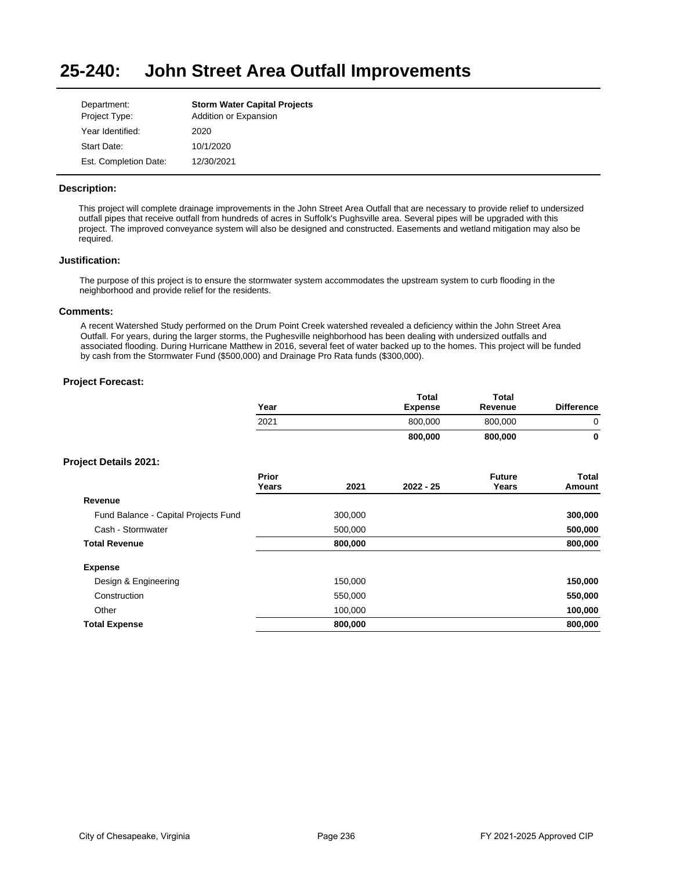#### **25-240: John Street Area Outfall Improvements**

| Department:<br>Project Type: | <b>Storm Water Capital Projects</b><br>Addition or Expansion |
|------------------------------|--------------------------------------------------------------|
| Year Identified:             | 2020                                                         |
| Start Date:                  | 10/1/2020                                                    |
| Est. Completion Date:        | 12/30/2021                                                   |

### **Description:**

This project will complete drainage improvements in the John Street Area Outfall that are necessary to provide relief to undersized outfall pipes that receive outfall from hundreds of acres in Suffolk's Pughsville area. Several pipes will be upgraded with this project. The improved conveyance system will also be designed and constructed. Easements and wetland mitigation may also be required.

### **Justification:**

The purpose of this project is to ensure the stormwater system accommodates the upstream system to curb flooding in the neighborhood and provide relief for the residents.

### **Comments:**

A recent Watershed Study performed on the Drum Point Creek watershed revealed a deficiency within the John Street Area Outfall. For years, during the larger storms, the Pughesville neighborhood has been dealing with undersized outfalls and associated flooding. During Hurricane Matthew in 2016, several feet of water backed up to the homes. This project will be funded by cash from the Stormwater Fund (\$500,000) and Drainage Pro Rata funds (\$300,000).

|                                      | Year           |         | Total<br><b>Expense</b> | <b>Total</b><br>Revenue | <b>Difference</b> |
|--------------------------------------|----------------|---------|-------------------------|-------------------------|-------------------|
|                                      | 2021           |         | 800,000                 | 800,000                 | 0                 |
|                                      |                |         | 800,000                 | 800,000                 | $\mathbf 0$       |
| <b>Project Details 2021:</b>         |                |         |                         |                         |                   |
|                                      | Prior<br>Years | 2021    | $2022 - 25$             | <b>Future</b><br>Years  | Total<br>Amount   |
| Revenue                              |                |         |                         |                         |                   |
| Fund Balance - Capital Projects Fund |                | 300,000 |                         |                         | 300,000           |
| Cash - Stormwater                    |                | 500,000 |                         |                         | 500,000           |
| <b>Total Revenue</b>                 |                | 800,000 |                         |                         | 800,000           |
| <b>Expense</b>                       |                |         |                         |                         |                   |
| Design & Engineering                 |                | 150,000 |                         |                         | 150,000           |
| Construction                         |                | 550,000 |                         |                         | 550,000           |
| Other                                |                | 100,000 |                         |                         | 100,000           |
| <b>Total Expense</b>                 |                | 800,000 |                         |                         | 800,000           |
|                                      |                |         |                         |                         |                   |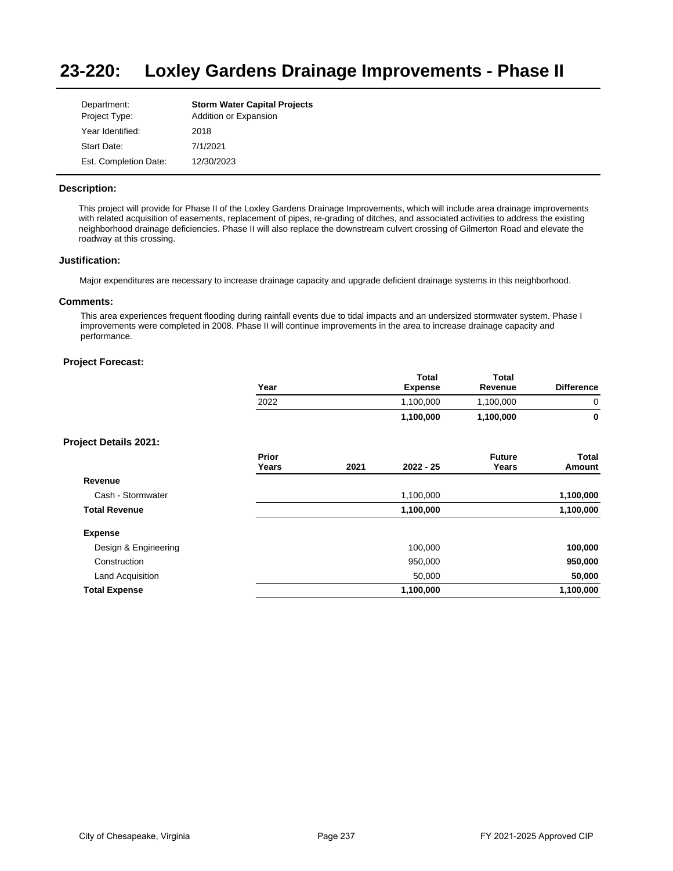#### **23-220: Loxley Gardens Drainage Improvements - Phase II**

| Department:<br>Project Type: | <b>Storm Water Capital Projects</b><br>Addition or Expansion |
|------------------------------|--------------------------------------------------------------|
| Year Identified:             | 2018                                                         |
| Start Date:                  | 7/1/2021                                                     |
| Est. Completion Date:        | 12/30/2023                                                   |

### **Description:**

This project will provide for Phase II of the Loxley Gardens Drainage Improvements, which will include area drainage improvements with related acquisition of easements, replacement of pipes, re-grading of ditches, and associated activities to address the existing neighborhood drainage deficiencies. Phase II will also replace the downstream culvert crossing of Gilmerton Road and elevate the roadway at this crossing.

#### **Justification:**

Major expenditures are necessary to increase drainage capacity and upgrade deficient drainage systems in this neighborhood.

#### **Comments:**

This area experiences frequent flooding during rainfall events due to tidal impacts and an undersized stormwater system. Phase I improvements were completed in 2008. Phase II will continue improvements in the area to increase drainage capacity and performance.

#### **Project Forecast:**

| Year | Total<br>Expense | Total<br>Revenue | <b>Difference</b> |
|------|------------------|------------------|-------------------|
| 2022 | 1,100,000        | 1,100,000        |                   |
|      | 1,100,000        | 1,100,000        |                   |

|                      | Prior<br>Years | 2021 | $2022 - 25$ | <b>Future</b><br>Years | Total<br>Amount |
|----------------------|----------------|------|-------------|------------------------|-----------------|
| Revenue              |                |      |             |                        |                 |
| Cash - Stormwater    |                |      | 1,100,000   |                        | 1,100,000       |
| <b>Total Revenue</b> |                |      | 1,100,000   |                        | 1,100,000       |
| <b>Expense</b>       |                |      |             |                        |                 |
| Design & Engineering |                |      | 100,000     |                        | 100,000         |
| Construction         |                |      | 950,000     |                        | 950,000         |
| Land Acquisition     |                |      | 50,000      |                        | 50,000          |
| <b>Total Expense</b> |                |      | 1,100,000   |                        | 1,100,000       |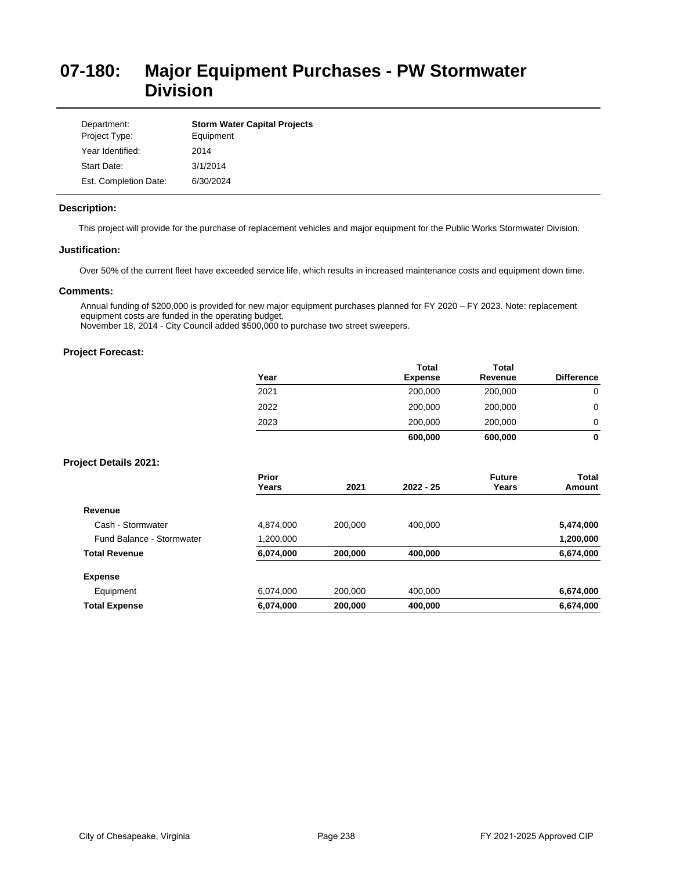# **07-180: Major Equipment Purchases - PW Stormwater Division**

| Department:<br>Project Type: | <b>Storm Water Capital Projects</b><br>Equipment |
|------------------------------|--------------------------------------------------|
| Year Identified:             | 2014                                             |
| Start Date:                  | 3/1/2014                                         |
| Est. Completion Date:        | 6/30/2024                                        |

#### **Description:**

This project will provide for the purchase of replacement vehicles and major equipment for the Public Works Stormwater Division.

### **Justification:**

Over 50% of the current fleet have exceeded service life, which results in increased maintenance costs and equipment down time.

# **Comments:**

Annual funding of \$200,000 is provided for new major equipment purchases planned for FY 2020 – FY 2023. Note: replacement equipment costs are funded in the operating budget.

November 18, 2014 - City Council added \$500,000 to purchase two street sweepers.

# **Project Forecast:**

| Year | <b>Total</b><br><b>Expense</b> | <b>Total</b><br>Revenue | <b>Difference</b> |
|------|--------------------------------|-------------------------|-------------------|
| 2021 | 200,000                        | 200,000                 | 0                 |
| 2022 | 200,000                        | 200,000                 | 0                 |
| 2023 | 200,000                        | 200,000                 | 0                 |
|      | 600,000                        | 600,000                 | 0                 |

| Prior     | 2021    | $2022 - 25$ | <b>Future</b> | Total<br>Amount |
|-----------|---------|-------------|---------------|-----------------|
|           |         |             |               |                 |
|           |         |             |               |                 |
| 4,874,000 | 200.000 | 400.000     |               | 5,474,000       |
| 1,200,000 |         |             |               | 1,200,000       |
| 6,074,000 | 200,000 | 400,000     |               | 6,674,000       |
|           |         |             |               |                 |
| 6,074,000 | 200,000 | 400,000     |               | 6,674,000       |
| 6,074,000 | 200,000 | 400,000     |               | 6,674,000       |
|           | Years   |             |               | Years           |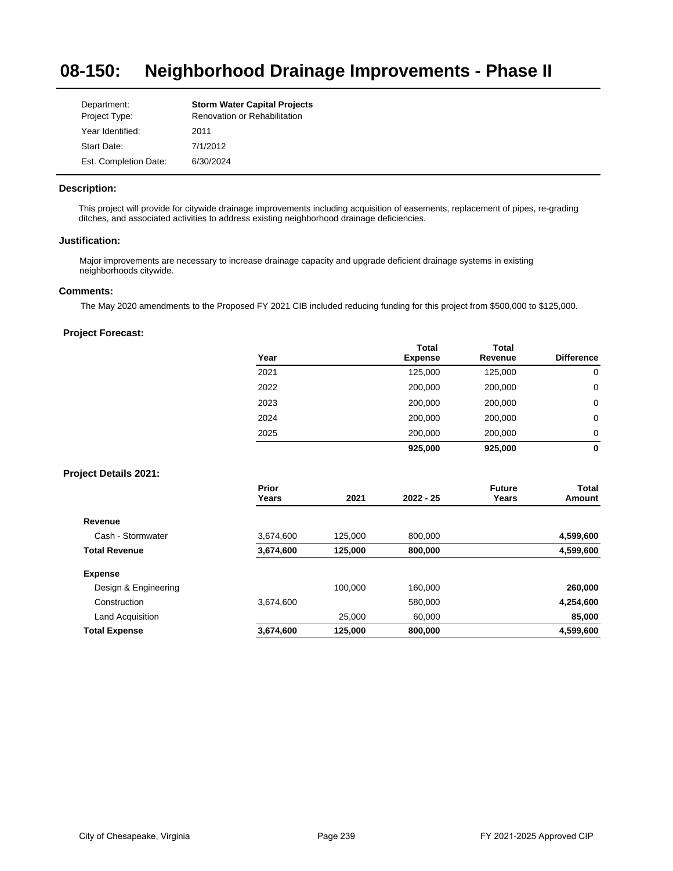#### **08-150: Neighborhood Drainage Improvements - Phase II**

| Department:           | <b>Storm Water Capital Projects</b> |
|-----------------------|-------------------------------------|
| Project Type:         | Renovation or Rehabilitation        |
| Year Identified:      | 2011                                |
| Start Date:           | 7/1/2012                            |
| Est. Completion Date: | 6/30/2024                           |

### **Description:**

This project will provide for citywide drainage improvements including acquisition of easements, replacement of pipes, re-grading ditches, and associated activities to address existing neighborhood drainage deficiencies.

#### **Justification:**

Major improvements are necessary to increase drainage capacity and upgrade deficient drainage systems in existing neighborhoods citywide.

#### **Comments:**

The May 2020 amendments to the Proposed FY 2021 CIB included reducing funding for this project from \$500,000 to \$125,000.

## **Project Forecast:**

| Year | <b>Total</b><br><b>Expense</b> | <b>Total</b><br>Revenue | <b>Difference</b> |
|------|--------------------------------|-------------------------|-------------------|
| 2021 | 125,000                        | 125,000                 | 0                 |
| 2022 | 200,000                        | 200,000                 | 0                 |
| 2023 | 200,000                        | 200,000                 | 0                 |
| 2024 | 200,000                        | 200,000                 | 0                 |
| 2025 | 200,000                        | 200,000                 | 0                 |
|      | 925,000                        | 925,000                 | 0                 |

|                      | Prior<br>Years | 2021    | $2022 - 25$ | <b>Future</b><br>Years | Total<br>Amount |
|----------------------|----------------|---------|-------------|------------------------|-----------------|
| Revenue              |                |         |             |                        |                 |
| Cash - Stormwater    | 3,674,600      | 125,000 | 800,000     |                        | 4,599,600       |
| <b>Total Revenue</b> | 3,674,600      | 125,000 | 800,000     |                        | 4,599,600       |
| <b>Expense</b>       |                |         |             |                        |                 |
| Design & Engineering |                | 100.000 | 160.000     |                        | 260,000         |
| Construction         | 3,674,600      |         | 580,000     |                        | 4,254,600       |
| Land Acquisition     |                | 25.000  | 60,000      |                        | 85,000          |
| <b>Total Expense</b> | 3,674,600      | 125,000 | 800,000     |                        | 4,599,600       |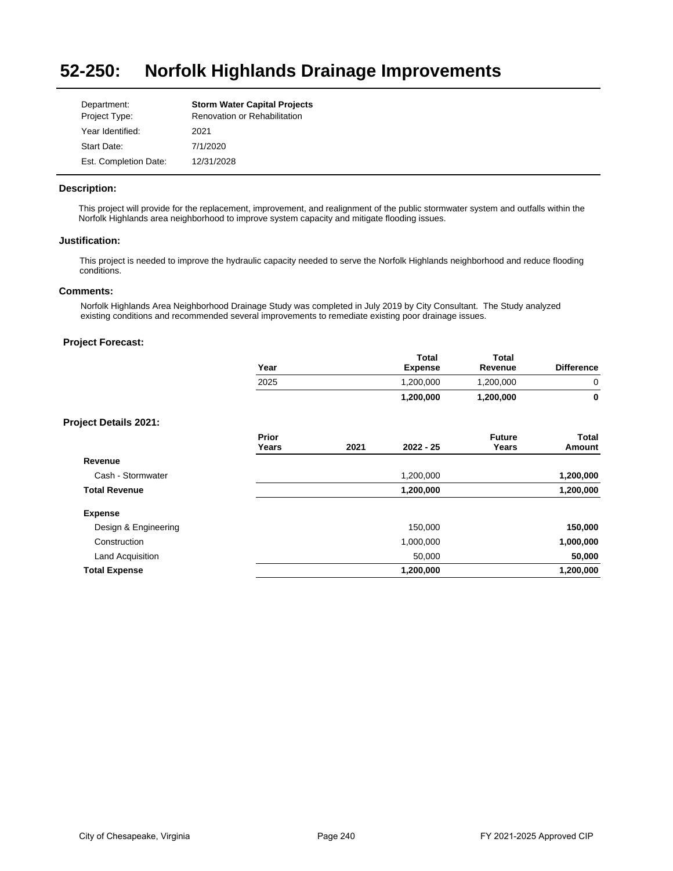#### **52-250: Norfolk Highlands Drainage Improvements**

| Department:<br>Project Type: | <b>Storm Water Capital Projects</b><br>Renovation or Rehabilitation |
|------------------------------|---------------------------------------------------------------------|
| Year Identified:             | 2021                                                                |
| Start Date:                  | 7/1/2020                                                            |
| Est. Completion Date:        | 12/31/2028                                                          |

#### **Description:**

This project will provide for the replacement, improvement, and realignment of the public stormwater system and outfalls within the Norfolk Highlands area neighborhood to improve system capacity and mitigate flooding issues.

#### **Justification:**

This project is needed to improve the hydraulic capacity needed to serve the Norfolk Highlands neighborhood and reduce flooding conditions.

# **Comments:**

Norfolk Highlands Area Neighborhood Drainage Study was completed in July 2019 by City Consultant. The Study analyzed existing conditions and recommended several improvements to remediate existing poor drainage issues.

|                              | Year           |      | <b>Total</b><br><b>Expense</b> | <b>Total</b><br>Revenue | <b>Difference</b>      |
|------------------------------|----------------|------|--------------------------------|-------------------------|------------------------|
|                              | 2025           |      | 1,200,000                      | 1,200,000               | 0                      |
|                              |                |      | 1,200,000                      | 1,200,000               | 0                      |
| <b>Project Details 2021:</b> |                |      |                                |                         |                        |
|                              | Prior<br>Years | 2021 | $2022 - 25$                    | <b>Future</b><br>Years  | <b>Total</b><br>Amount |
| Revenue                      |                |      |                                |                         |                        |
| Cash - Stormwater            |                |      | 1,200,000                      |                         | 1,200,000              |
| <b>Total Revenue</b>         |                |      | 1,200,000                      |                         | 1,200,000              |
| <b>Expense</b>               |                |      |                                |                         |                        |
| Design & Engineering         |                |      | 150,000                        |                         | 150,000                |
| Construction                 |                |      | 1,000,000                      |                         | 1,000,000              |
| <b>Land Acquisition</b>      |                |      | 50,000                         |                         | 50,000                 |
| <b>Total Expense</b>         |                |      | 1,200,000                      |                         | 1,200,000              |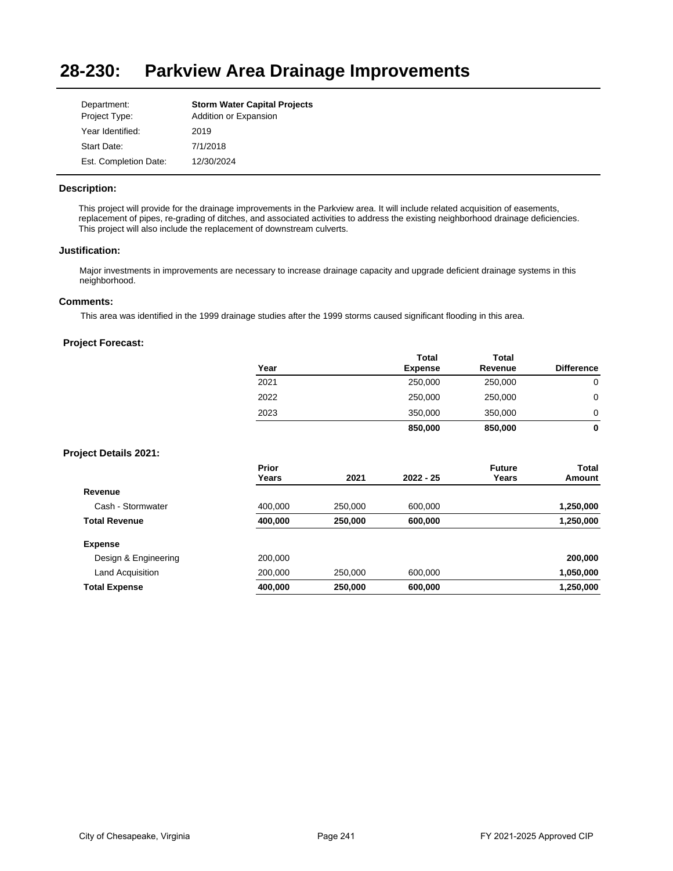#### **28-230: Parkview Area Drainage Improvements**

| Department:<br>Project Type: | <b>Storm Water Capital Projects</b><br>Addition or Expansion |
|------------------------------|--------------------------------------------------------------|
| Year Identified:             | 2019                                                         |
| Start Date:                  | 7/1/2018                                                     |
| Est. Completion Date:        | 12/30/2024                                                   |

### **Description:**

This project will provide for the drainage improvements in the Parkview area. It will include related acquisition of easements, replacement of pipes, re-grading of ditches, and associated activities to address the existing neighborhood drainage deficiencies. This project will also include the replacement of downstream culverts.

# **Justification:**

Major investments in improvements are necessary to increase drainage capacity and upgrade deficient drainage systems in this neighborhood.

#### **Comments:**

This area was identified in the 1999 drainage studies after the 1999 storms caused significant flooding in this area.

|                              | Year                  |         | <b>Total</b><br><b>Expense</b> | <b>Total</b><br>Revenue | <b>Difference</b> |
|------------------------------|-----------------------|---------|--------------------------------|-------------------------|-------------------|
|                              | 2021                  |         | 250,000                        | 250,000                 | 0                 |
|                              | 2022                  |         | 250,000                        | 250,000                 | $\mathbf 0$       |
|                              | 2023                  |         | 350,000                        | 350,000                 | 0                 |
|                              |                       |         | 850,000                        | 850,000                 | $\mathbf 0$       |
| <b>Project Details 2021:</b> |                       |         |                                |                         |                   |
|                              | <b>Prior</b><br>Years | 2021    | $2022 - 25$                    | <b>Future</b><br>Years  | Total<br>Amount   |
| Revenue                      |                       |         |                                |                         |                   |
| Cash - Stormwater            | 400,000               | 250,000 | 600,000                        |                         | 1,250,000         |
| <b>Total Revenue</b>         | 400,000               | 250,000 | 600,000                        |                         | 1,250,000         |
| <b>Expense</b>               |                       |         |                                |                         |                   |
| Design & Engineering         | 200,000               |         |                                |                         | 200,000           |
| Land Acquisition             | 200,000               | 250,000 | 600,000                        |                         | 1,050,000         |
| <b>Total Expense</b>         | 400,000               | 250,000 | 600,000                        |                         | 1,250,000         |
|                              |                       |         |                                |                         |                   |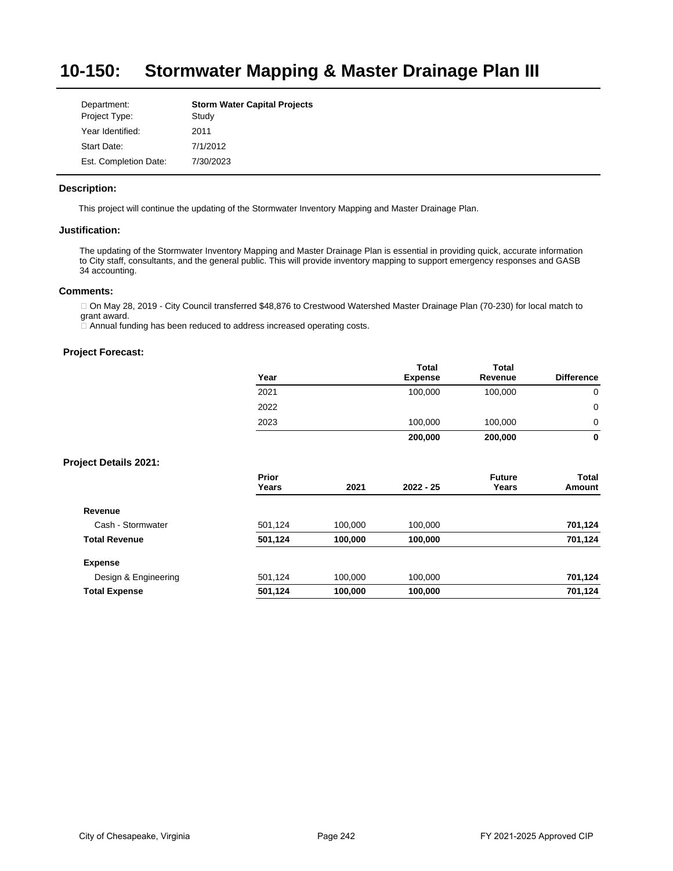#### **10-150: Stormwater Mapping & Master Drainage Plan III**

| Department:           | <b>Storm Water Capital Projects</b> |
|-----------------------|-------------------------------------|
| Project Type:         | Study                               |
| Year Identified:      | 2011                                |
| Start Date:           | 7/1/2012                            |
| Est. Completion Date: | 7/30/2023                           |

### **Description:**

This project will continue the updating of the Stormwater Inventory Mapping and Master Drainage Plan.

### **Justification:**

The updating of the Stormwater Inventory Mapping and Master Drainage Plan is essential in providing quick, accurate information to City staff, consultants, and the general public. This will provide inventory mapping to support emergency responses and GASB 34 accounting.

# **Comments:**

□ On May 28, 2019 - City Council transferred \$48,876 to Crestwood Watershed Master Drainage Plan (70-230) for local match to grant award.

 $\Box$  Annual funding has been reduced to address increased operating costs.

|                              | Year           |         | Total<br><b>Expense</b> | Total<br>Revenue       | <b>Difference</b> |
|------------------------------|----------------|---------|-------------------------|------------------------|-------------------|
|                              | 2021           |         | 100,000                 | 100,000                | 0                 |
|                              | 2022           |         |                         |                        | $\mathbf 0$       |
|                              | 2023           |         | 100,000                 | 100,000                | 0                 |
|                              |                |         | 200,000                 | 200,000                | $\mathbf 0$       |
| <b>Project Details 2021:</b> |                |         |                         |                        |                   |
|                              | Prior<br>Years | 2021    | $2022 - 25$             | <b>Future</b><br>Years | Total<br>Amount   |
| Revenue                      |                |         |                         |                        |                   |
| Cash - Stormwater            | 501,124        | 100,000 | 100,000                 |                        | 701,124           |
| <b>Total Revenue</b>         | 501,124        | 100,000 | 100,000                 |                        | 701,124           |
| <b>Expense</b>               |                |         |                         |                        |                   |
| Design & Engineering         | 501,124        | 100,000 | 100,000                 |                        | 701,124           |
| <b>Total Expense</b>         | 501,124        | 100,000 | 100,000                 |                        | 701,124           |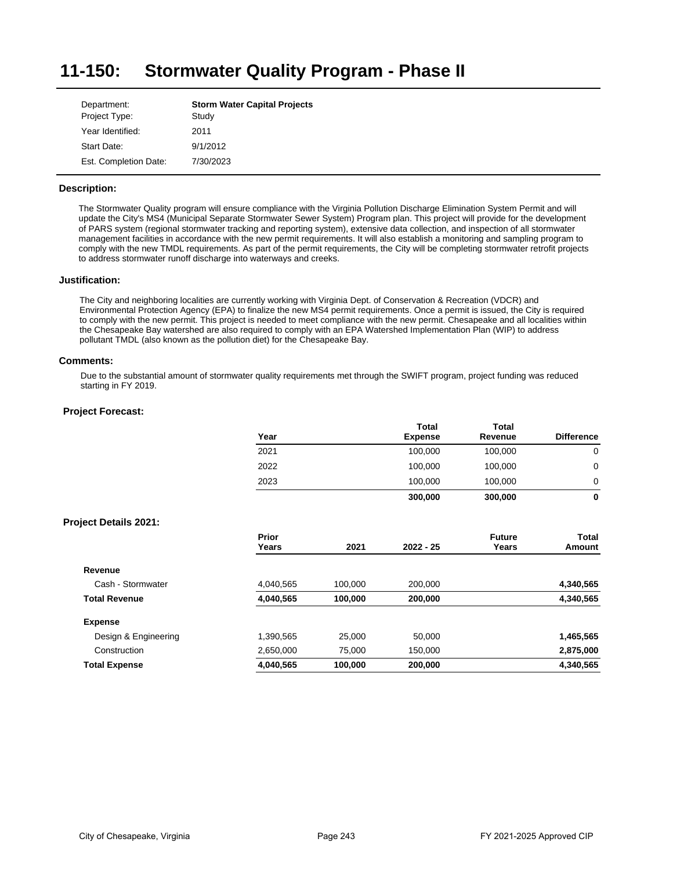#### **11-150: Stormwater Quality Program - Phase II**

| Department:           | <b>Storm Water Capital Projects</b> |
|-----------------------|-------------------------------------|
| Project Type:         | Study                               |
| Year Identified:      | 2011                                |
| Start Date:           | 9/1/2012                            |
| Est. Completion Date: | 7/30/2023                           |

### **Description:**

The Stormwater Quality program will ensure compliance with the Virginia Pollution Discharge Elimination System Permit and will update the City's MS4 (Municipal Separate Stormwater Sewer System) Program plan. This project will provide for the development of PARS system (regional stormwater tracking and reporting system), extensive data collection, and inspection of all stormwater management facilities in accordance with the new permit requirements. It will also establish a monitoring and sampling program to comply with the new TMDL requirements. As part of the permit requirements, the City will be completing stormwater retrofit projects to address stormwater runoff discharge into waterways and creeks.

#### **Justification:**

The City and neighboring localities are currently working with Virginia Dept. of Conservation & Recreation (VDCR) and Environmental Protection Agency (EPA) to finalize the new MS4 permit requirements. Once a permit is issued, the City is required to comply with the new permit. This project is needed to meet compliance with the new permit. Chesapeake and all localities within the Chesapeake Bay watershed are also required to comply with an EPA Watershed Implementation Plan (WIP) to address pollutant TMDL (also known as the pollution diet) for the Chesapeake Bay.

#### **Comments:**

Due to the substantial amount of stormwater quality requirements met through the SWIFT program, project funding was reduced starting in FY 2019.

| 2021<br>2022   |         | 100,000   | 100,000                |                 |
|----------------|---------|-----------|------------------------|-----------------|
|                |         |           |                        | 0               |
|                |         | 100,000   | 100,000                | $\mathbf 0$     |
| 2023           |         | 100,000   | 100,000                | 0               |
|                |         | 300,000   | 300,000                | $\mathbf 0$     |
|                |         |           |                        |                 |
| Prior<br>Years | 2021    | 2022 - 25 | <b>Future</b><br>Years | Total<br>Amount |
|                |         |           |                        |                 |
| 4,040,565      | 100,000 | 200,000   |                        | 4,340,565       |
| 4,040,565      | 100,000 | 200,000   |                        | 4,340,565       |
|                |         |           |                        |                 |
| 1,390,565      | 25,000  | 50,000    |                        | 1,465,565       |
| 2,650,000      | 75,000  | 150,000   |                        | 2,875,000       |
| 4,040,565      | 100,000 | 200,000   |                        | 4,340,565       |
|                |         |           |                        |                 |